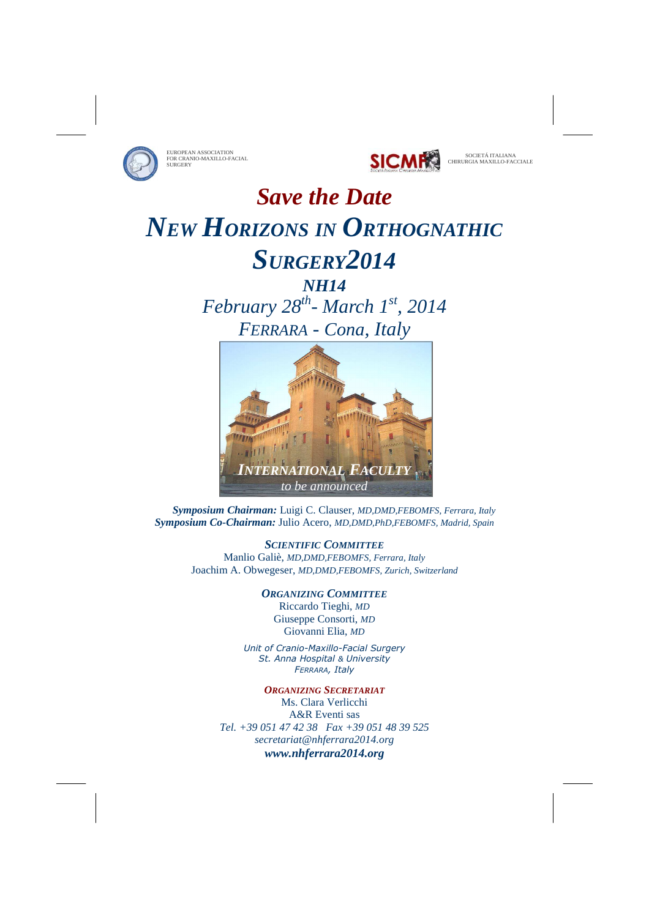



# *Save the Date NEW HORIZONS IN ORTHOGNATHIC SURGERY2014*

## *NH14 February 28th- March 1st, 2014 FERRARA - Cona, Italy*



 *Symposium Chairman:* Luigi C. Clauser, *MD,DMD,FEBOMFS, Ferrara, Italy Symposium Co-Chairman:* Julio Acero, *MD,DMD,PhD,FEBOMFS, Madrid, Spain*

> *SCIENTIFIC COMMITTEE* Manlio Galiè, *MD,DMD,FEBOMFS, Ferrara, Italy* Joachim A. Obwegeser, *MD,DMD,FEBOMFS, Zurich, Switzerland*

> > *ORGANIZING COMMITTEE* Riccardo Tieghi, *MD* Giuseppe Consorti, *MD* Giovanni Elia, *MD*

*Unit of Cranio-Maxillo-Facial Surgery St. Anna Hospital & University FERRARA, Italy* 

*ORGANIZING SECRETARIAT* Ms. Clara Verlicchi A&R Eventi sas *Tel. +39 051 47 42 38 Fax +39 051 48 39 525 secretariat@nhferrara2014.org www.nhferrara2014.org*